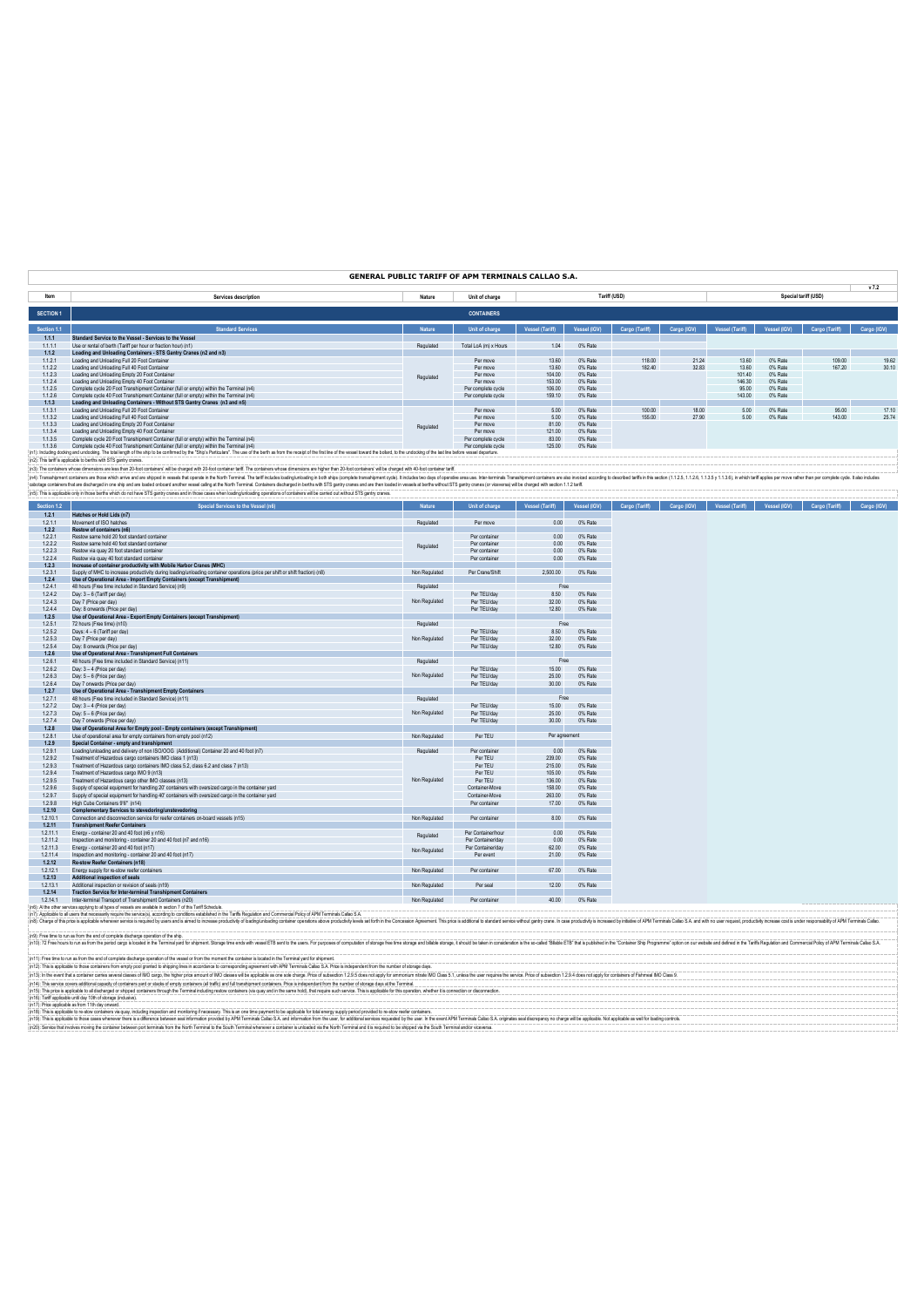### **GENERAL PUBLIC TARIFF OF APM TERMINALS CALLAO S.A.**

|                  |                                                                                                                                                                                                                                |           |                       |                        |              |                |             |                 |              |                      | v7.2        |
|------------------|--------------------------------------------------------------------------------------------------------------------------------------------------------------------------------------------------------------------------------|-----------|-----------------------|------------------------|--------------|----------------|-------------|-----------------|--------------|----------------------|-------------|
| Item             | Services description                                                                                                                                                                                                           | Nature    | Unit of charge        |                        |              | Tariff (USD)   |             |                 |              | Special tariff (USD) |             |
| <b>SECTION 1</b> |                                                                                                                                                                                                                                |           | <b>CONTAINERS</b>     |                        |              |                |             |                 |              |                      |             |
| Section 1.1      | <b>Standard Services</b>                                                                                                                                                                                                       | Nature    | Unit of charge        | <b>Vessel (Tariff)</b> | Vessel (IGV) | Cargo (Tariff) | Cargo (IGV) | Vessel (Tariff) | Vessel (IGV) | Cargo (Tariff)       | Cargo (IGV) |
| 1.1.1            | Standard Service to the Vessel - Services to the Vessel                                                                                                                                                                        |           |                       |                        |              |                |             |                 |              |                      |             |
| 1.1.1.1          | Use or rental of berth (Tariff per hour or fraction hour) (n1)                                                                                                                                                                 | Regulated | Total LoA (m) x Hours | 1.04                   | 0% Rate      |                |             |                 |              |                      |             |
| 1.1.2            | Loading and Unloading Containers - STS Gantry Cranes (n2 and n3)                                                                                                                                                               |           |                       |                        |              |                |             |                 |              |                      |             |
| 1.1.2.1          | Loading and Unloading Full 20 Foot Container                                                                                                                                                                                   | Regulated | Per move              | 13.60                  | 0% Rate      | 118.00         | 21.24       | 13.60           | 0% Rate      | 109.00               | 19.62       |
| 1.1.2.2          | Loading and Unloading Full 40 Foot Container                                                                                                                                                                                   |           | Per move              | 13.60                  | 0% Rate      | 182.40         | 32.83       | 13.60           | 0% Rate      | 167.20               | 30.10       |
| 1.1.2.3          | Loading and Unloading Empty 20 Foot Container                                                                                                                                                                                  |           | Per move              | 104.00                 | 0% Rate      |                |             | 101.40          | 0% Rate      |                      |             |
| 1.1.2.4          | Loading and Unloading Empty 40 Foot Container                                                                                                                                                                                  |           | Per move              | 153.00                 | 0% Rate      |                |             | 146.30          | 0% Rate      |                      |             |
| 1.1.2.5          | Complete cycle 20 Foot Transhipment Container (full or empty) within the Terminal (n4)                                                                                                                                         |           | Per complete cycle    | 106.00                 | 0% Rate      |                |             | 95.00           | 0% Rate      |                      |             |
| 1.1.2.6          | Complete cycle 40 Eont Transhipment Container (full or empty) within the Terminal (p4)                                                                                                                                         |           | Per complete cycle    | 159.10                 | 0% Rate      |                |             | 143.00          | 0% Rate      |                      |             |
| 1.1.3            | Loading and Unloading Containers - Without STS Gantry Cranes (n3 and n5)                                                                                                                                                       |           |                       |                        |              |                |             |                 |              |                      |             |
| 1.1.3.1          | Loading and Unloading Full 20 Foot Container                                                                                                                                                                                   |           | Per move              | 5.00                   | 0% Rate      | 100.00         | 18.00       | 5.00            | 0% Rate      | 95.00                | 17.10       |
| 1.1.3.2          | Loading and Unloading Full 40 Foot Container                                                                                                                                                                                   |           | Per move              | 5.00                   | 0% Rate      | 155.00         | 27.90       | 5.00            | 0% Rate      | 143.00               | 25.74       |
| 1.1.3.3          | Loading and Unloading Empty 20 Foot Container                                                                                                                                                                                  | Regulated | Per move              | 81.00                  | 0% Rate      |                |             |                 |              |                      |             |
| 1.1.3.4          | Loading and Unloading Empty 40 Foot Container                                                                                                                                                                                  |           | Per move              | 121.00                 | 0% Rate      |                |             |                 |              |                      |             |
| 1.1.3.5          | Complete cycle 20 Foot Transhipment Container (full or empty) within the Terminal (n4)                                                                                                                                         |           | Per complete cycle    | 83.00                  | 0% Rate      |                |             |                 |              |                      |             |
| 1.1.3.6          | Complete cycle 40 Foot Transhipment Container (full or empty) within the Terminal (n4)                                                                                                                                         |           | Per complete cycle    | 125.00                 | 0% Rate      |                |             |                 |              |                      |             |
|                  | (n1): Including docking and undocking. The total length of the ship to be confirmed by the "Ship's Particulars". The use of the berth as from the receipt of the first line of the vessel toward the bollard, to the undocking |           |                       |                        |              |                |             |                 |              |                      |             |

(n): has applies between the blue maintain of the state of the state of the state of the state of the state of the state of the state of the state of the state of the state of the state of the state of the state of the sta

| Section 1.2 | Special Services to the Vessel (n6)                                                                                           | <b>Nature</b> | Unit of charge     | <b>Vessel (Tariff)</b> | Vessel (IGV) | Cargo (Tariff) | Cargo (IGV) | <b>Vessel (Tariff)</b> | Vessel (IGV) | Cargo (Tariff) |
|-------------|-------------------------------------------------------------------------------------------------------------------------------|---------------|--------------------|------------------------|--------------|----------------|-------------|------------------------|--------------|----------------|
| 1.2.1       | Hatches or Hold Lids (n7)                                                                                                     |               |                    |                        |              |                |             |                        |              |                |
| 1.2.1.1     | Movement of ISO hatches                                                                                                       | Regulated     | Per move           | 0.00                   | 0% Rate      |                |             |                        |              |                |
| 1.2.2       | Restow of containers (n6)                                                                                                     |               |                    |                        |              |                |             |                        |              |                |
| 1.2.2.1     | Restow same hold 20 foot standard container                                                                                   |               | Per container      | 0.00                   | 0% Rate      |                |             |                        |              |                |
| 1.2.2.2     | Restow same hold 40 foot standard container                                                                                   | Regulated     | Per container      | 0.00                   | 0% Rate      |                |             |                        |              |                |
| 1.2.2.3     | Restow via quay 20 foot standard container                                                                                    |               | Per container      | 0.00                   | 0% Rate      |                |             |                        |              |                |
| 1.2.2.4     | Restow via quay 40 foot standard container                                                                                    |               | Per container      | 0.00                   | 0% Rate      |                |             |                        |              |                |
| 1.2.3       | Increase of container productivity with Mobile Harbor Cranes (MHC)                                                            |               |                    |                        |              |                |             |                        |              |                |
| 1.2.3.1     | Supply of MHC to increase productivity during loading/unloading container operations (price per shift or shift fraction) (n8) | Non Regulated | Per Crane/Shift    | 2,500.00               | 0% Rate      |                |             |                        |              |                |
| 1.2.4       | Use of Operational Area - Import Empty Containers (except Transhipment)                                                       |               |                    |                        |              |                |             |                        |              |                |
| 1.2.4.1     | 48 hours (Free time included in Standard Service) (n9)                                                                        | Regulated     |                    | Free                   |              |                |             |                        |              |                |
| 1.2.4.2     | Day: 3 - 6 (Tariff per day)                                                                                                   |               | Per TEU/day        | 8.50                   | 0% Rate      |                |             |                        |              |                |
| 1.2.4.3     | Day 7 (Price per day)                                                                                                         | Non Regulated | Per TEU/day        | 32.00                  | 0% Rate      |                |             |                        |              |                |
| 1.2.4.4     | Day: 8 onwards (Price per day)                                                                                                |               | Per TEU/day        | 12.80                  | 0% Rate      |                |             |                        |              |                |
| 1.2.5       | Use of Operational Area - Export Empty Containers (except Transhipment)                                                       |               |                    |                        |              |                |             |                        |              |                |
| 1.2.5.1     | 72 hours (Free time) (n10)                                                                                                    | Regulated     |                    | Free                   |              |                |             |                        |              |                |
| 1.2.5.2     | Days: 4 - 6 (Tariff per day)                                                                                                  |               | Per TEU/day        | 8.50                   | 0% Rate      |                |             |                        |              |                |
| 1.2.5.3     | Day 7 (Price per day)                                                                                                         | Non Regulated | Per TEU/day        | 32.00                  | 0% Rate      |                |             |                        |              |                |
| 1.2.5.4     | Day: 8 onwards (Price per day)                                                                                                |               | Per TEU/day        | 12.80                  | 0% Rate      |                |             |                        |              |                |
| 1.2.6       | Use of Operational Area - Transhipment Full Containers                                                                        |               |                    |                        |              |                |             |                        |              |                |
| 1.2.6.1     | 48 hours (Free time included in Standard Service) (n11)                                                                       | Regulated     |                    | Free                   |              |                |             |                        |              |                |
| 1.2.6.2     | Day: 3 - 4 (Price per day)                                                                                                    |               | Per TEU/day        | 15.00                  | 0% Rate      |                |             |                        |              |                |
| 1.2.6.3     | Day: 5 - 6 (Price per day)                                                                                                    | Non Regulated | Per TEU/day        | 25.00                  | 0% Rate      |                |             |                        |              |                |
| 1.2.6.4     | Day 7 onwards (Price per day)                                                                                                 |               | Per TEU/day        | 30.00                  | 0% Rate      |                |             |                        |              |                |
| 1.2.7       | Use of Operational Area - Transhipment Empty Containers                                                                       |               |                    |                        |              |                |             |                        |              |                |
| 1.2.7.1     | 48 hours (Free time included in Standard Service) (n11)                                                                       | Regulated     |                    | Free                   |              |                |             |                        |              |                |
| 1.2.7.2     | Day: 3 - 4 (Price per day)                                                                                                    |               | Per TEU/day        | 15.00                  | 0% Rate      |                |             |                        |              |                |
| 1.2.7.3     |                                                                                                                               | Non Regulated | Per TEU/day        | 25.00                  | 0% Rate      |                |             |                        |              |                |
|             | Day: 5 - 6 (Price per day)                                                                                                    |               |                    | 30.00                  | 0% Rate      |                |             |                        |              |                |
| 1.2.7.4     | Day 7 onwards (Price per day)                                                                                                 |               | Per TEU/day        |                        |              |                |             |                        |              |                |
| 1.2.8       | Use of Operational Area for Empty pool - Empty containers (except Transhipment)                                               |               |                    |                        |              |                |             |                        |              |                |
| 1.2.8.1     | Use of operational area for empty containers from empty pool (n12)                                                            | Non Regulated | Per TEU            | Per agreement          |              |                |             |                        |              |                |
| 1.2.9       | Special Container - empty and transhipment                                                                                    |               |                    |                        |              |                |             |                        |              |                |
| 1.2.9.1     | Loading/unloading and delivery of non ISO/OOG (Additional) Container 20 and 40 foot (n7)                                      | Regulated     | Per container      | 0.00                   | 0% Rate      |                |             |                        |              |                |
| 1.2.9.2     | Treatment of Hazardous cargo containers IMO class 1 (n13)                                                                     |               | Per TEU            | 239.00                 | 0% Rate      |                |             |                        |              |                |
| 1.2.9.3     | Treatment of Hazardous cargo containers IMO class 5.2, class 6.2 and class 7 (n13)                                            |               | Per TEU            | 215.00                 | 0% Rate      |                |             |                        |              |                |
| 1.2.9.4     | Treatment of Hazardous cargo IMO 9 (n13)                                                                                      |               | Per TEU            | 105.00                 | 0% Rate      |                |             |                        |              |                |
| 1.2.9.5     | Treatment of Hazardous cargo other IMO classes (n13)                                                                          | Non Regulated | Per TEU            | 136.00                 | 0% Rate      |                |             |                        |              |                |
| 1.2.9.6     | Supply of special equipment for handling 20' containers with oversized cargo in the container yard                            |               | Container-Move     | 158.00                 | 0% Rate      |                |             |                        |              |                |
| 1.2.9.7     | Supply of special equipment for handling 40' containers with oversized cargo in the container yard                            |               | Container-Move     | 263.00                 | 0% Rate      |                |             |                        |              |                |
| 1.2.9.8     | High Cube Containers 9'6" (n14)                                                                                               |               | Per container      | 17.00                  | 0% Rate      |                |             |                        |              |                |
| 1.2.10      | Complementary Services to stevedoring/unstevedoring                                                                           |               |                    |                        |              |                |             |                        |              |                |
| 1.2.10.1    | Connection and disconnection service for reefer containers on-board vessels (n15)                                             | Non Regulated | Per container      | 8.00                   | 0% Rate      |                |             |                        |              |                |
| 1.2.11      | <b>Transhipment Reefer Containers</b>                                                                                         |               |                    |                        |              |                |             |                        |              |                |
| 1.2.11.1    | Energy - container 20 and 40 foot (n6 y n16)                                                                                  | Regulated     | Per Container/hour | 0.00                   | 0% Rate      |                |             |                        |              |                |
| 1.2.11.2    | Inspection and monitoring - container 20 and 40 foot (n7 and n16)                                                             |               | Per Container/day  | 0.00                   | 0% Rate      |                |             |                        |              |                |
| 1.2.11.3    | Energy - container 20 and 40 foot (n17)                                                                                       |               | Per Container/day  | 62.00                  | 0% Rate      |                |             |                        |              |                |
| 1.2.11.4    | Inspection and monitoring - container 20 and 40 foot (n17)                                                                    | Non Regulated | Per event          | 21.00                  | 0% Rate      |                |             |                        |              |                |
| 1.2.12      | Re-stow Reefer Containers (n18)                                                                                               |               |                    |                        |              |                |             |                        |              |                |
| 1.2.12.1    | Energy supply for re-stow reefer containers                                                                                   | Non Regulated | Per container      | 67.00                  | 0% Rate      |                |             |                        |              |                |
| 1.2.13      | Additional inspection of seals                                                                                                |               |                    |                        |              |                |             |                        |              |                |
| 1.2.13.1    | Additional inspection or revision of seals (n19)                                                                              | Non Regulated | Per seal           | 12.00                  | 0% Rate      |                |             |                        |              |                |
| 1.2.14      | <b>Traction Service for Inter-terminal Transhipment Containers</b>                                                            |               |                    |                        |              |                |             |                        |              |                |
| 1.2.14.1    | Inter-terminal Transport of Transhipment Containers (n20)                                                                     | Non Regulated | Per container      | 40.00                  | 0% Rate      |                |             |                        |              |                |
|             |                                                                                                                               |               |                    |                        |              |                |             |                        |              |                |

(if): Free the brust ston bend of online discussion of a site. If a site of a site of the site of the state of the state of the state of the state of the state of the state of the state of the state of the state of the sta

(n11). This applicies to me and to move decay operator develop the result of the result of the incondence to comegonding apperent wh.PM Terminia Cales S.A. Promin ayards the method and subseques the method in the matter of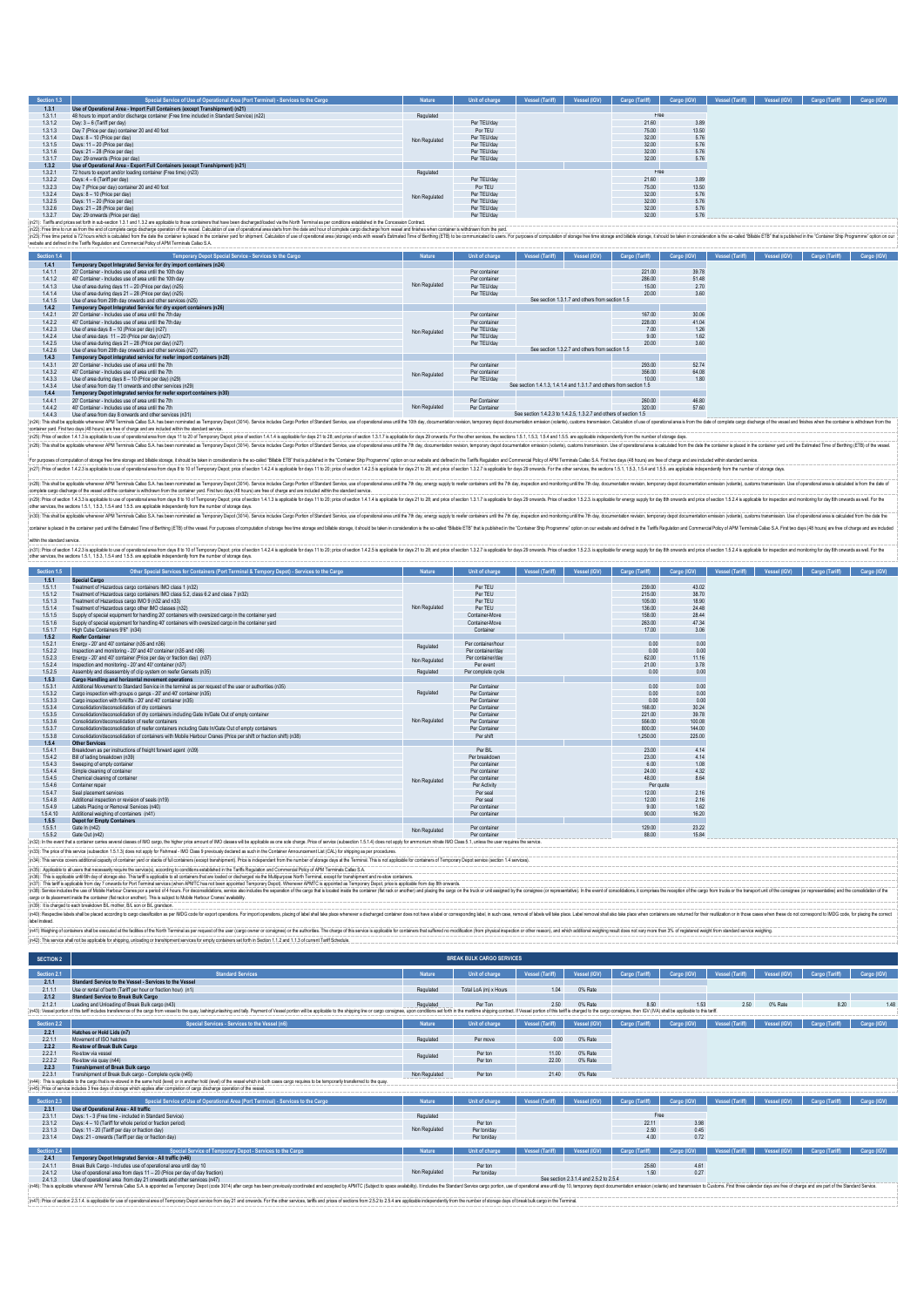| Section 1.3 | Special Service of Use of Operational Area (Port Terminal) - Services to the Cargo                                                                                                                                    | Nature        | Unit of charge | Vessel (Tariff) | Vessel (IGV) | Cargo (Tariff) | <b>IGV)</b><br>Cargo | Vessel (Tariff) | Vessel (IGV) | Cargo (Tariff) | Cargo (IGV) |
|-------------|-----------------------------------------------------------------------------------------------------------------------------------------------------------------------------------------------------------------------|---------------|----------------|-----------------|--------------|----------------|----------------------|-----------------|--------------|----------------|-------------|
| 1.3.1       | Use of Operational Area - Import Full Containers (except Transhipment) (n21)                                                                                                                                          |               |                |                 |              |                |                      |                 |              |                |             |
| 1.3.1.1     | 48 hours to import and/or discharge container (Free time included in Standard Service) (n22)                                                                                                                          | Regulated     |                |                 |              | Free           |                      |                 |              |                |             |
| 1.3.1.2     | Day: 3 - 6 (Tariff per day)                                                                                                                                                                                           |               | Per TEU/day    |                 |              | 21.60          | 3.89                 |                 |              |                |             |
| 1313        | Day 7 (Price per day) container 20 and 40 foot                                                                                                                                                                        |               | Por TEU        |                 |              | 75.00          | 13.50                |                 |              |                |             |
| 1.3.1.4     | Days: 8 - 10 (Price per day)                                                                                                                                                                                          | Non Regulated | Per TEU/day    |                 |              | 32.00          | 5.76                 |                 |              |                |             |
| 1.3.1.5     | Days: 11 - 20 (Price per day)                                                                                                                                                                                         |               | Per TEU/day    |                 |              | 32.00          | 5.76                 |                 |              |                |             |
| 1.3.1.6     | Days: 21 - 28 (Price per day)                                                                                                                                                                                         |               | Per TEU/day    |                 |              | 32.00          | 5.76                 |                 |              |                |             |
| 1.3.1.7     | Day: 29 onwards (Price per day)                                                                                                                                                                                       |               | Per TEU/day    |                 |              | 32.00          | 5.76                 |                 |              |                |             |
| 1.3.2       | Use of Operational Area - Export Full Containers (except Transhipment) (n21)                                                                                                                                          |               |                |                 |              |                |                      |                 |              |                |             |
| 1.3.2.1     | 72 hours to export and/or loading container (Free time) (n23)                                                                                                                                                         | Regulated     |                |                 |              | Free           |                      |                 |              |                |             |
| 1.3.2.2     | Days: 4 - 6 (Tariff per day)                                                                                                                                                                                          |               | Per TEU/day    |                 |              | 21.60          | 3.89                 |                 |              |                |             |
| 1.3.2.3     | Day 7 (Price per day) container 20 and 40 foot                                                                                                                                                                        |               | Por TEU        |                 |              | 75.00          | 13.50                |                 |              |                |             |
| 1.3.2.4     | Days: 8 - 10 (Price per day)                                                                                                                                                                                          | Non Regulated | Per TEU/day    |                 |              | 32.00          | 5.76                 |                 |              |                |             |
| 1.3.2.5     | Days: 11 - 20 (Price per day)                                                                                                                                                                                         |               | Per TEU/day    |                 |              | 32.00          | 5.76                 |                 |              |                |             |
| 1.3.2.6     | Days: 21 - 28 (Price per day)                                                                                                                                                                                         |               | Per TEU/day    |                 |              | 32.00          | 5.76                 |                 |              |                |             |
| 1327        | Day: 29 onwards (Price per day)                                                                                                                                                                                       |               | Per TEU/day    |                 |              | 32.00          | 5.76                 |                 |              |                |             |
|             | n21): Tariffs and prices set forth in sub-section 1.3.1 and 1.3.2 are applicable to those containers that have been discharged/baded via the North Terminal as per conditions established in the Concession Contract. |               |                |                 |              |                |                      |                 |              |                |             |

13.27 Dan: 2000<br>|p21; Falian price and mail-and mail and 13.2 are applicable those containes flat have ben dischapled between dicharged between dicharged between dicharged between dicharged provides and those whole explosi

| Section 1.4 | Temporary Depot Special Service - Services to the Cargo                                                                                                                                                                       | <b>Nature</b> | Unit of charge | Vessel (Tariff)                                                      | Vessel (IGV)                                    | Cargo (Tariff) | Cargo (IGV) | Vessel (Tariff) | Vessel (IGV) | Cargo (Tariff) | Cargo (IGV) |
|-------------|-------------------------------------------------------------------------------------------------------------------------------------------------------------------------------------------------------------------------------|---------------|----------------|----------------------------------------------------------------------|-------------------------------------------------|----------------|-------------|-----------------|--------------|----------------|-------------|
| 1.4.1       | Temporary Depot Integrated Service for dry import containers (n24)                                                                                                                                                            |               |                |                                                                      |                                                 |                |             |                 |              |                |             |
| 1411        | 20" Container - Includes use of area until the 10th day                                                                                                                                                                       |               | Per container  |                                                                      |                                                 | 221.00         | 39.78       |                 |              |                |             |
| 1412        | 40' Container - Includes use of area until the 10th day                                                                                                                                                                       |               | Per container  |                                                                      |                                                 | 286,00         | 51.48       |                 |              |                |             |
| 1.4.1.3     | Use of area during days 11 - 20 (Price per day) (n25)                                                                                                                                                                         | Non Regulated | Per TEU/day    |                                                                      |                                                 | 15.00          | 2.70        |                 |              |                |             |
| 1414        | Use of area during days 21 - 28 (Price per day) (n25).                                                                                                                                                                        |               | Per TEU/day    |                                                                      |                                                 | 20.00          | 3.60        |                 |              |                |             |
| 1415        | Use of area from 29th day onwards and other services (n25)                                                                                                                                                                    |               |                |                                                                      | See section 1.3.1.7 and others from section 1.5 |                |             |                 |              |                |             |
| 1.4.2       | Temporary Depot Integrated Service for dry export containers (n26)                                                                                                                                                            |               |                |                                                                      |                                                 |                |             |                 |              |                |             |
| 1421        | 20' Container - Includes use of area until the 7th day                                                                                                                                                                        |               | Per container  |                                                                      |                                                 | 167.00         | 30.06       |                 |              |                |             |
| 1.4.2.2     | 40' Container - Includes use of area until the 7th day                                                                                                                                                                        |               | Per container  |                                                                      |                                                 | 228.00         | 41.04       |                 |              |                |             |
| 1423        | Use of area days 8 - 10 (Price per day) (n27)                                                                                                                                                                                 | Non Regulated | Per TEU/day    |                                                                      |                                                 | 7.00           | 1.26        |                 |              |                |             |
| 1.4.2.4     | Use of area days 11 - 20 (Price per day) (n27)                                                                                                                                                                                |               | Per TEU/day    |                                                                      |                                                 | 9.00           | 1.62        |                 |              |                |             |
| 1.4.2.5     | Use of area during days 21 - 28 (Price per day) (n27)                                                                                                                                                                         |               | Per TEU/day    |                                                                      |                                                 | 2000           | 3.60        |                 |              |                |             |
| 1.4.2.6     | Use of area from 29th day onwards and other services (n27)                                                                                                                                                                    |               |                |                                                                      | See section 1.3.2.7 and others from section 1.5 |                |             |                 |              |                |             |
| 1.4.3       | Temporary Depot integrated service for reefer import containers (n28)                                                                                                                                                         |               |                |                                                                      |                                                 |                |             |                 |              |                |             |
| 1431        | 20' Container - Includes use of area until the 7th                                                                                                                                                                            |               | Per container  |                                                                      |                                                 | 293.00         | 5274        |                 |              |                |             |
| 1432        | 40' Container - Includes use of area until the 7th                                                                                                                                                                            | Non Regulated | Per container  |                                                                      |                                                 | 356.00         | 64.08       |                 |              |                |             |
| 1433        | Use of area during days 8 - 10 (Price per day) (n29)                                                                                                                                                                          |               | Per TEU/day    |                                                                      |                                                 | 10.00          | 1.80        |                 |              |                |             |
| 1434        | Use of area from day 11 onwards and other services (n29)                                                                                                                                                                      |               |                | See section 1.4.1.3. 1.4.1.4 and 1.3.1.7 and others from section 1.5 |                                                 |                |             |                 |              |                |             |
| 1.4.4       | Temporary Depot integrated service for reefer export containers (n30)                                                                                                                                                         |               |                |                                                                      |                                                 |                |             |                 |              |                |             |
| 1441        | 20' Container - Includes use of area until the 7th                                                                                                                                                                            |               | Per Container  |                                                                      |                                                 | 260.00         | 46.80       |                 |              |                |             |
| 1.4.4.2     | 40' Container - Includes use of area until the 7th                                                                                                                                                                            | Non Regulated | Per Container  |                                                                      |                                                 | 320.00         | 57.60       |                 |              |                |             |
| 1443        | Use of area from day 8 onwards and other services (n31)                                                                                                                                                                       |               |                | See section 1.4.2.3 to 1.4.2.5, 1.3.2.7 and others of section 1.5    |                                                 |                |             |                 |              |                |             |
|             | (n24): This shall be applicable whenever APM Terminals Callao S.A has been nominated as Temporary Depot (3014). Service includes Cargo Portion of Standard Service, use of operational area until the 10th day, documentation |               |                |                                                                      |                                                 |                |             |                 |              |                |             |

container ward. First two days (48 hours) are free of charge and are included within the standard service. (c5) his distant is a problem a status in the status of the Data in the status in the status in the status in the status in the security in the security in the status in the security in the security in the security in the

Foundamond angle the stage width stage, it alub teen nowled the nomination it to called it it is the state in the Control of Popmin' operator an vebber is and the interpret in the installation in the installation is a stat

(c0): his sale splot where AM Immation Sharehout incompart of the sale of the state of the state of the state of the state of the state of the state of the state of the state of the state of the state of the state of the s

lainer is placed in the ontainer yerd until the Estimated Time of Berthing (ETB) of the vessel. For purposes of computation of storage and buble storage, it should be taken in consideration is the so-called 'Bilable ETB' t

with he standard service.<br>(is) [Pread resolution 12.3 is applicable bused operational are form allows to for The property record into the service of the SI is applicable for descent 1.4.2 is applicable for the service of t

| Section 1.5 | Other Special Services for Containers (Port Terminal & Tempory Depot) - Services to the Cargo                    | Nature        | Unit of charge     | Vessel (Tariff) | Vessel (IGV) | Cargo (Tariff) | Cargo (IGV) | Vessel (Tariff) | Vessel (IGV) | Cargo (Tariff) | Cargo (IGV) |
|-------------|------------------------------------------------------------------------------------------------------------------|---------------|--------------------|-----------------|--------------|----------------|-------------|-----------------|--------------|----------------|-------------|
| 1.5.1       | <b>Special Cargo</b>                                                                                             |               |                    |                 |              |                |             |                 |              |                |             |
| 1.5.1.1     | Treatment of Hazardous cargo containers IMO class 1 (n32)                                                        |               | Per TEU            |                 |              | 239.00         | 43.02       |                 |              |                |             |
| 1.5.1.2     | Treatment of Hazardous caroo containers IMO class 5.2, class 6.2 and class 7 (n32)                               |               | Per TEU            |                 |              | 215.00         | 38.70       |                 |              |                |             |
| 1.5.1.3     | Treatment of Hazardous caroo IMO 9 (n32 and n33)                                                                 |               | Per TEU            |                 |              | 105.00         | 18.90       |                 |              |                |             |
| 1.5.1.4     | Treatment of Hazardous cargo other IMO classes (n32)                                                             | Non Regulated | Per TEU            |                 |              | 136.00         | 24.48       |                 |              |                |             |
| 1.5.1.5     | Supply of special equipment for handling 20' containers with oversized cargo in the container vard               |               | Container-Move     |                 |              | 158.00         | 28.44       |                 |              |                |             |
| 1.5.1.6     | Supply of special equipment for handling 40' containers with oversized cargo in the container vard               |               | Container-Move     |                 |              | 263.00         | 47.34       |                 |              |                |             |
| 1.5.1.7     | High Cube Containers 9'6" (n34)                                                                                  |               | Container          |                 |              | 17.00          | 3.06        |                 |              |                |             |
| 1.5.2       | <b>Reefer Container</b>                                                                                          |               |                    |                 |              |                |             |                 |              |                |             |
| 1.5.2.1     | Energy - 20' and 40' container (n35 and n36)                                                                     | Regulated     | Per container/hour |                 |              | 0.00           | 0.00        |                 |              |                |             |
| 1.5.2.2     | Inspection and monitoring - 20" and 40" container (p35 and p36).                                                 |               | Per container/day  |                 |              | 0.00           | 0.00        |                 |              |                |             |
| 1.5.2.3     | Energy - 20' and 40' container (Price per day or fraction day) (n37)                                             | Non Regulated | Per container/day  |                 |              | 62.00          | 11.16       |                 |              |                |             |
| 1.5.2.4     | Inspection and monitoring - 20' and 40' container (n37)                                                          |               | Per event          |                 |              | 21.00          | 3.78        |                 |              |                |             |
| 1.5.2.5     | Assembly and disassembly of clip system on reefer Gensets (n35)                                                  | Regulated     | Per complete cycle |                 |              | 0.00           | 0.00        |                 |              |                |             |
| 1.5.3       | Cargo Handling and horizontal movement operations                                                                |               |                    |                 |              |                |             |                 |              |                |             |
| 1.5.3.1     | Additional Movement to Standard Service in the terminal as ner request of the user or authorities (n35).         |               | Per Container      |                 |              | 0.00           | 0.00        |                 |              |                |             |
| 1.5.3.2     | Cargo inspection with groups o gangs - 20' and 40' container (n35)                                               | Regulated     | Per Container      |                 |              | 0.00           | 0.00        |                 |              |                |             |
| 1.5.3.3     | Cargo inspection with forklifts - 20' and 40' container (n35)                                                    |               | Per Container      |                 |              | 0.00           | 0.00        |                 |              |                |             |
| 1.5.3.4     | Consolidation/deconsolidation of dry containers                                                                  |               | Per Container      |                 |              | 168.00         | 30.24       |                 |              |                |             |
| 1.5.3.5     | Consolidation/deconsolidation of dry containers including Gate In/Gate Out of empty container                    |               | Per Container      |                 |              | 221.00         | 39.78       |                 |              |                |             |
| 1.5.3.6     | Consolidation/deconsolidation of reefer containers                                                               | Non Regulated | Per Container      |                 |              | 556.00         | 100.08      |                 |              |                |             |
| 1.5.3.7     | Consolidation/deconsolidation of reefer containers including Gate In/Gate Out of empty containers                |               | Per Container      |                 |              | 800.00         | 144.00      |                 |              |                |             |
| 1.5.3.8     | Consolidation/deconsolidation of containers with Mobile Harbour Cranes (Price per shift or fraction shift) (n38) |               | Per shift          |                 |              | 1.250.00       | 225.00      |                 |              |                |             |
| 1.5.4       | <b>Other Services</b>                                                                                            |               |                    |                 |              |                |             |                 |              |                |             |
| 1.5.4.1     | Breakdown as per instructions of freight forward agent (n39)                                                     |               | Per B/L            |                 |              | 23.00          | 4.14        |                 |              |                |             |
| 1.5.4.2     | Bill of lading breakdown (n39)                                                                                   |               | Per breakdown      |                 |              | 23.00          | 4.14        |                 |              |                |             |
| 1.5.4.3     | Sweeping of empty container                                                                                      |               | Per container      |                 |              | 6.00           | 1.08        |                 |              |                |             |
| 1.5.4.4     | Simple cleaning of container                                                                                     |               | Per container      |                 |              | 24.00          | 4.32        |                 |              |                |             |
| 1.5.4.5     | Chemical cleaning of container                                                                                   | Non Regulated | Per container      |                 |              | 48.00          | 8.64        |                 |              |                |             |
| 1.5.4.6     | Container repair                                                                                                 |               | Per Activity       |                 |              | Per quote      |             |                 |              |                |             |
| 1.5.4.7     | Seal placement services                                                                                          |               | Per seal           |                 |              | 12.00          | 2.16        |                 |              |                |             |
| 1.5.4.8     | Additional inspection or revision of seals (n19)                                                                 |               | Per seal           |                 |              | 12.00          | 2.16        |                 |              |                |             |
| 1.5.4.9     | Labels Placing or Removal Services (n40)                                                                         |               | Per container      |                 |              | 9.00           | 1.62        |                 |              |                |             |
| 1.5.4.10    | Additional weighing of containers (n41)                                                                          |               | Per container      |                 |              | 90.00          | 16.20       |                 |              |                |             |
| 1.5.5       | <b>Depot for Empty Containers</b>                                                                                |               |                    |                 |              |                |             |                 |              |                |             |
| 1.5.5.1     | Gate In (n42)                                                                                                    | Non Regulated | Per container      |                 |              | 129.00         | 23.22       |                 |              |                |             |
| 1.5.5.2     | Gate Out (n42)                                                                                                   |               | Per container      |                 |              | 88.00          | 15.84       |                 |              |                |             |

(n32): In the erent that a container caries several dasses of MO cargo, the higher price and MO classes will be applicable as one sole charge. Price of service (school of 1.5.1.4) does not pay for ammonium mirale IMO Class

(05). This amount on additure additionally dominity and a most of most complement from the indeptop and it is include to a mater of the most descending the most of the company of the include to a most of the most of the mo

(03): its draged beach transformal in more, BL son of BL granism.<br>(n4)): Responding to a more and the more more considerable beach that the spond of the more properties are decelerable place where a dechanged content decel (H) Weiver of our detected and a final of the minimal aper exact of use conservation conservation of the sepisate for conservation (for photomorphal input in produce in the sepisary of the sepisary of the sepisary of the s

|  |  |  | n42): This service shall not be applicable for shipping, unloading or transhipment services for empty containers set forth in Section 1.1. |  |
|--|--|--|--------------------------------------------------------------------------------------------------------------------------------------------|--|

| <b>SECTION 2</b> |                                                                                                                                                                                                                                                                                                                                                |               | <b>BREAK BULK CARGO SERVICES</b> |                 |                                        |                |             |                 |              |                |             |
|------------------|------------------------------------------------------------------------------------------------------------------------------------------------------------------------------------------------------------------------------------------------------------------------------------------------------------------------------------------------|---------------|----------------------------------|-----------------|----------------------------------------|----------------|-------------|-----------------|--------------|----------------|-------------|
| Section 2.1      | <b>Standard Services</b>                                                                                                                                                                                                                                                                                                                       | Nature        | Unit of charge                   | Vessel (Tariff) | Vessel (IGV)                           | Cargo (Tariff) | Cargo (IGV) | Vessel (Tariff) | Vessel (IGV) | Cargo (Tariff) | Cargo (IGV) |
| 2.1.1            | Standard Service to the Vessel - Services to the Vessel                                                                                                                                                                                                                                                                                        |               |                                  |                 |                                        |                |             |                 |              |                |             |
| 2.1.1.1          | Use or rental of berth (Tariff per hour or fraction bour) (n1)                                                                                                                                                                                                                                                                                 | Regulated     | Total LoA (m) x Hours            | 1.04            | 0% Rate                                |                |             |                 |              |                |             |
| 2.1.2            | <b>Standard Service to Break Bulk Cargo</b>                                                                                                                                                                                                                                                                                                    |               |                                  |                 |                                        |                |             |                 |              |                |             |
| 2121             | Loading and Unloading of Break Bulk cargo (n43)                                                                                                                                                                                                                                                                                                | Regulated     | Per Ton                          | 2.50            | 0% Rate                                | 8.50           | 1.53        | 2.50            | 0% Rate      | 8.20           | 1.48        |
|                  | (n43): Vessel portion of this tariff includes transference of the cargo from vessel to the quay, lashinglunlashing and tally. Payment of Vessel portion will be applicable to the shipping line or cargo consignee, upon condi                                                                                                                 |               |                                  |                 |                                        |                |             |                 |              |                |             |
| Section 2.2      | Special Services - Services to the Vessel (n6)                                                                                                                                                                                                                                                                                                 | Nature        | Unit of charge                   | Vessel (Tariff) | Vessel (IGV)                           | Cargo (Tariff) | Cargo (IGV) | Vessel (Tariff) | Vessel (IGV) | Cargo (Tariff) | Cargo (IGV) |
| 2.2.1            | Hatches or Hold Lids (n7)                                                                                                                                                                                                                                                                                                                      |               |                                  |                 |                                        |                |             |                 |              |                |             |
| 2211             | Movement of ISO hatches                                                                                                                                                                                                                                                                                                                        | Regulated     | Per move                         | 0.00            | 0% Rate                                |                |             |                 |              |                |             |
| 2.2.2            | Re-stow of Break Bulk Cargo                                                                                                                                                                                                                                                                                                                    |               |                                  |                 |                                        |                |             |                 |              |                |             |
| 2221             | Re-strw via vessel                                                                                                                                                                                                                                                                                                                             | Regulated     | Per ton                          | 11.00           | 0% Rate                                |                |             |                 |              |                |             |
| 2.2.2.2          | Re-stow via quay (n44)                                                                                                                                                                                                                                                                                                                         |               | Per ton                          | 22.00           | 0% Rate                                |                |             |                 |              |                |             |
| 2.2.3            | <b>Transhipment of Break Bulk cargo</b>                                                                                                                                                                                                                                                                                                        |               |                                  |                 |                                        |                |             |                 |              |                |             |
| 2231             | Transhipment of Break Bulk caroo - Complete cycle (n45)                                                                                                                                                                                                                                                                                        | Non Regulated | Per ton                          | 21.40           | 0% Rate                                |                |             |                 |              |                |             |
|                  | (n44): This is applicable to the cargo that is re-stowed in the same hold (level) or in another hold (level) of the vessel which in both cases cargo requires to be temporarily transferred to the quay.<br>(n45): Price of service includes 3 free days of storage which applies after completion of cargo discharge operation of the vessel. |               |                                  |                 |                                        |                |             |                 |              |                |             |
|                  |                                                                                                                                                                                                                                                                                                                                                |               |                                  |                 |                                        |                |             |                 |              |                |             |
| Section 2.3      | Special Service of Use of Operational Area (Port Terminal) - Services to the Cargo                                                                                                                                                                                                                                                             | Nature        | Unit of charge                   | Vessel (Tariff) | Vessel (IGV)                           | Cargo (Tariff) | Cargo (IGV) | Vessel (Tariff) | Vessel (IGV) | Cargo (Tariff) | Cargo (IGV) |
| 2.3.1            | Use of Operational Area - All traffic                                                                                                                                                                                                                                                                                                          |               |                                  |                 |                                        |                |             |                 |              |                |             |
| 2.3.1.1          | Days: 1 - 3 (Free time - included in Standard Service)                                                                                                                                                                                                                                                                                         | Regulated     |                                  |                 |                                        | Free           |             |                 |              |                |             |
| 2.3.1.2          | Days: 4 - 10 (Tariff for whole period or fraction period).                                                                                                                                                                                                                                                                                     |               | Per ton                          |                 |                                        | 22.11          | 3.98        |                 |              |                |             |
| 2.3.1.3          | Days: 11 - 20 (Tariff per day or fraction day)                                                                                                                                                                                                                                                                                                 | Non Regulated | Per ton/day                      |                 |                                        | 2.50           | 0.45        |                 |              |                |             |
| 2.3.1.4          | Days: 21 - onwards (Tariff per day or fraction day)                                                                                                                                                                                                                                                                                            |               | Per ton/day                      |                 |                                        | 400            | 0.72        |                 |              |                |             |
| Section 2.4      | Special Service of Temporary Depot - Services to the Cargo                                                                                                                                                                                                                                                                                     | <b>Nature</b> | Unit of charge                   | Vessel (Tariff) | Vessel (IGV)                           | Cargo (Tariff) | Cargo (IGV) | Vessel (Tariff) | el (IGV)     | Cargo (Tariff) | Cargo (IGV) |
| 2.4.1            | Temporary Depot Integrated Service - All traffic (n46)                                                                                                                                                                                                                                                                                         |               |                                  |                 |                                        |                |             |                 |              |                |             |
| 2411             | Break Bulk Carno - Includes use of operational area until day 10                                                                                                                                                                                                                                                                               |               | Per ton                          |                 |                                        | 25.60          | 4.61        |                 |              |                |             |
| 2.4.1.2          | Use of operational area from days 11 - 20 (Price per day of day fraction)                                                                                                                                                                                                                                                                      | Non Regulated | Per ton/day                      |                 |                                        | 1.50           | 0.27        |                 |              |                |             |
| 2.4.1.3          | Use of operational area from day 21 onwards and other services (n47)                                                                                                                                                                                                                                                                           |               |                                  |                 | See section 2.3.1.4 and 2.5.2 to 2.5.4 |                |             |                 |              |                |             |
|                  | (n46): This is applicable whenever APM Terminals Callao S.A. is appointed as Temporary Depot (code 3014) after cargo has been previously coordinated and accopted by APMTC (Subject to space availability). It includes the St                                                                                                                 |               |                                  |                 |                                        |                |             |                 |              |                |             |
|                  |                                                                                                                                                                                                                                                                                                                                                |               |                                  |                 |                                        |                |             |                 |              |                |             |

(n47): Price of section 2.3.1.4. Is applicable for use of operational area of Temporary Depot service from day 21 and onwards. For the other services, tariffs and prices of sections from 2.5.2 to 2.5.4 are ap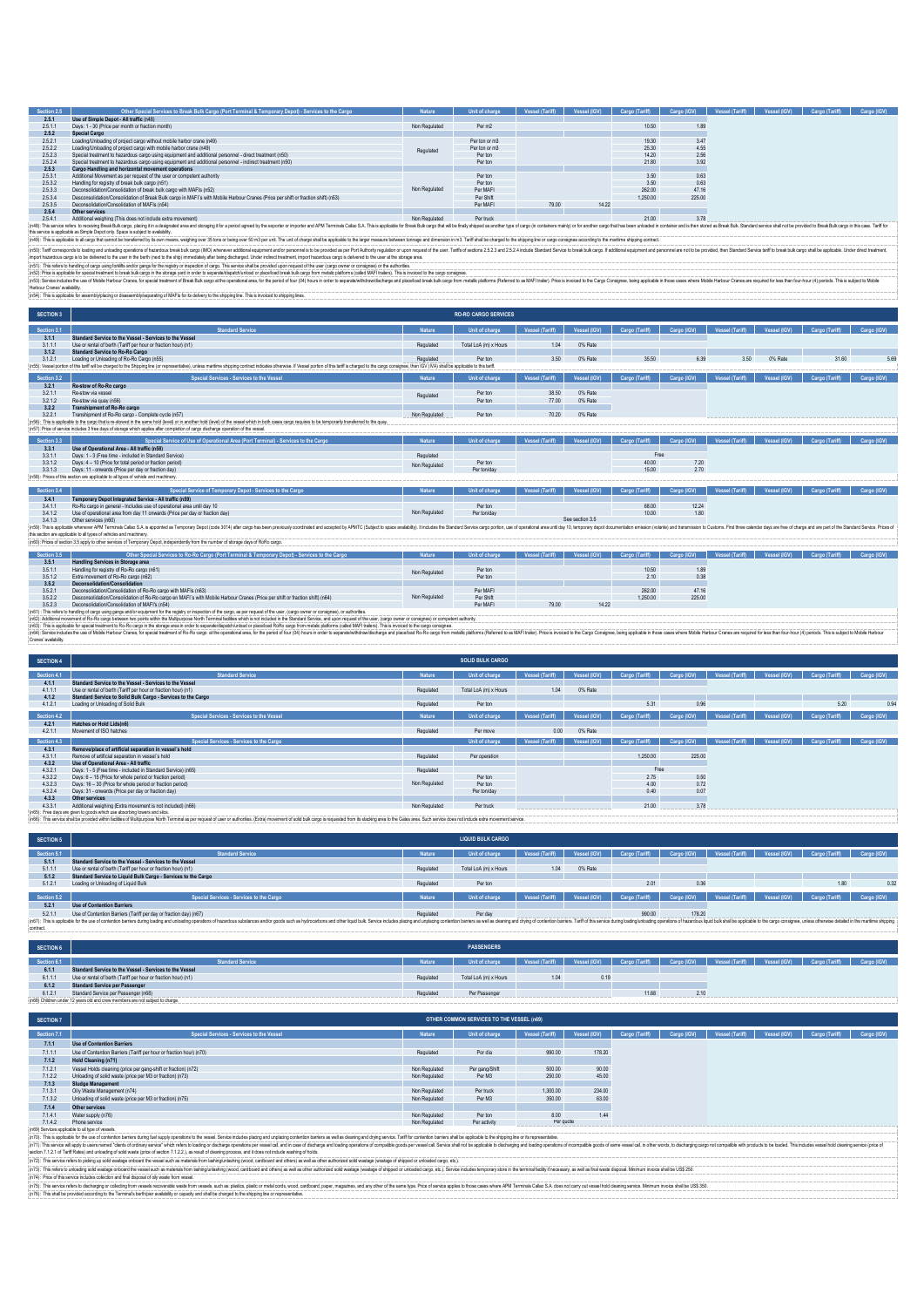| Section 2.5                  | Other Special Services to Break Bulk Cargo (Port Terminal & Temporary Depot) - Services to the Cargo                                                                                                                                                                                                                                                                                                                                                      |               | <b>Unit of charge</b>       |                        |                    | Vessel (Tariff)   Vessel (IGV)   Cargo (Tariff)   Cargo (IGV)   Vessel (Tariff)   Vessel (IGV) |             |                       |              | Cargo (Tariff) Cargo (IGV) |             |
|------------------------------|-----------------------------------------------------------------------------------------------------------------------------------------------------------------------------------------------------------------------------------------------------------------------------------------------------------------------------------------------------------------------------------------------------------------------------------------------------------|---------------|-----------------------------|------------------------|--------------------|------------------------------------------------------------------------------------------------|-------------|-----------------------|--------------|----------------------------|-------------|
| 2.5.1<br>2511                | Use of Simple Depot - All traffic (n48)<br>Days: 1 - 30 (Price per month or fraction month).                                                                                                                                                                                                                                                                                                                                                              | Non Regulated | Per m <sub>2</sub>          |                        |                    | 10.50                                                                                          |             |                       |              |                            |             |
| 2.5.2                        | Special Cargo                                                                                                                                                                                                                                                                                                                                                                                                                                             |               |                             |                        |                    |                                                                                                | 1.89        |                       |              |                            |             |
| 2.5.2.1                      | Loading/Unloading of project cargo without mobile harbor crane (n49)                                                                                                                                                                                                                                                                                                                                                                                      |               | Per ton or m3               |                        |                    | 19.30                                                                                          | 3.47        |                       |              |                            |             |
| 2522                         | Loading/Unloading of project cargo with mobile harbor crape (n49)                                                                                                                                                                                                                                                                                                                                                                                         |               | Per ton or m3               |                        |                    | 25.30                                                                                          | 4.55        |                       |              |                            |             |
| 2.5.2.3                      | Special treatment to hazardous cargo using equipment and additional personnel - direct treatment (n50)                                                                                                                                                                                                                                                                                                                                                    | Regulated     | Per ton                     |                        |                    | 14.20                                                                                          | 2.56        |                       |              |                            |             |
|                              |                                                                                                                                                                                                                                                                                                                                                                                                                                                           |               |                             |                        |                    | 21.80                                                                                          |             |                       |              |                            |             |
| 2524                         | Special treatment to hazardous cargo using equipment and additional personnel - indirect treatment (n50)                                                                                                                                                                                                                                                                                                                                                  |               | Per ton                     |                        |                    |                                                                                                | 3.92        |                       |              |                            |             |
| 2.5.3                        | Cargo Handling and horizontal movement operations                                                                                                                                                                                                                                                                                                                                                                                                         |               |                             |                        |                    |                                                                                                |             |                       |              |                            |             |
| 2.5.3.1                      | Additional Movement as per request of the user or competent authority                                                                                                                                                                                                                                                                                                                                                                                     |               | Per ton                     |                        |                    | 3.50                                                                                           | 0.63        |                       |              |                            |             |
| 2.5.3.2                      | Handling for registry of break bulk cargo (n51)                                                                                                                                                                                                                                                                                                                                                                                                           |               | Per ton                     |                        |                    | 3.50                                                                                           | 0.63        |                       |              |                            |             |
| 2.5.3.3                      | Deconsolidation/Consolidation of break bulk cargo with MAFIs (n52)                                                                                                                                                                                                                                                                                                                                                                                        | Non Regulated | Per MAFI                    |                        |                    | 262.00                                                                                         | 47.16       |                       |              |                            |             |
| 2534                         | Desconsolidation/Consolidation of Break Bulk cargo in MAFI's with Mobile Harbour Cranes (Price per shift or fraction shift) (n53)                                                                                                                                                                                                                                                                                                                         |               | Per Shift                   |                        |                    | 1.250.00                                                                                       | 225.00      |                       |              |                            |             |
| 2535                         | Deconsolidation/Consolidation of MAFIs (n54)                                                                                                                                                                                                                                                                                                                                                                                                              |               | Per MAFI                    | 79.00                  | 14.22              |                                                                                                |             |                       |              |                            |             |
| 2.5.4                        | Other services                                                                                                                                                                                                                                                                                                                                                                                                                                            |               |                             |                        |                    |                                                                                                |             |                       |              |                            |             |
| 2541                         | Additional weighing (This does not include extra movement)                                                                                                                                                                                                                                                                                                                                                                                                | Non Regulated | Per truck                   |                        |                    | 21.00                                                                                          | 3.78        |                       |              |                            |             |
|                              | AB): This service refers to receiving Break Bulk cargo, placing it in a designated area and storaging it for a period agreed by the exporter or importer and APM Terminals Callao S.A. This is applicable for Break Bulk cargo                                                                                                                                                                                                                            |               |                             |                        |                    |                                                                                                |             |                       |              |                            |             |
|                              | this service is applicable as Simple Depot only. Space is subject to availability.                                                                                                                                                                                                                                                                                                                                                                        |               |                             |                        |                    |                                                                                                |             |                       |              |                            |             |
|                              | (n49): This is applicable to all cargo that cannot be transferred by its own means, weighing over 35 tons or being over 50 m3 per unit. The unit of charge shall be applicable to the larger measure between tonnage and dimen                                                                                                                                                                                                                            |               |                             |                        |                    |                                                                                                |             |                       |              |                            |             |
|                              | (n50): Tariff corresponds to bading and unbading operations of hazardous break bulk cargo (IMO) whenever additional equipment and/or personnel is to be provided as per Port Authority regulation or upon request of the user.<br>mport hazardous cargo is to be delivered to the user in the berth (next to the ship) immediately after being discharged. Under indirect treatment, import hazardous cargo is delivered to the user at the storage area. |               |                             |                        |                    |                                                                                                |             |                       |              |                            |             |
|                              | (n51): This refers to handling of cargo using forklifts and/or gangs for the registry or inspection of cargo. This service shall be provided upon request of the user (cargo owner or consignee) or the authorities.                                                                                                                                                                                                                                      |               |                             |                        |                    |                                                                                                |             |                       |              |                            |             |
|                              | (n52): Price is applicable for special treatment to break bulk cargo in the storage yard in order to separate/dispatch/unload or place/load break bulk cargo from metalic platforms (called MAFI trailers). This is invoiced t                                                                                                                                                                                                                            |               |                             |                        |                    |                                                                                                |             |                       |              |                            |             |
|                              | (n53): Service indudes the use of Mobile Harbour Cranes, for special treatment of Break Buk cargo at the operational area, for the period of four (04) hours in order to separatelwithdraw/discharge and place/ladormers (Refe                                                                                                                                                                                                                            |               |                             |                        |                    |                                                                                                |             |                       |              |                            |             |
| Harhour Cranes' availability |                                                                                                                                                                                                                                                                                                                                                                                                                                                           |               |                             |                        |                    |                                                                                                |             |                       |              |                            |             |
|                              | (n54): This is applicable for assembly/placing or disassembly/separating of MAFIs for its delivery to the shipping line. This is invoiced to shipping lines.                                                                                                                                                                                                                                                                                              |               |                             |                        |                    |                                                                                                |             |                       |              |                            |             |
|                              |                                                                                                                                                                                                                                                                                                                                                                                                                                                           |               |                             |                        |                    |                                                                                                |             |                       |              |                            |             |
|                              |                                                                                                                                                                                                                                                                                                                                                                                                                                                           |               |                             |                        |                    |                                                                                                |             |                       |              |                            |             |
| <b>SECTION 3</b>             |                                                                                                                                                                                                                                                                                                                                                                                                                                                           |               | <b>RO-RO CARGO SERVICES</b> |                        |                    |                                                                                                |             |                       |              |                            |             |
|                              |                                                                                                                                                                                                                                                                                                                                                                                                                                                           |               |                             |                        |                    |                                                                                                |             |                       |              |                            |             |
| Section 3.1                  | <b>Standard Service</b>                                                                                                                                                                                                                                                                                                                                                                                                                                   | Nature        | Unit of charge              | <b>Vessel (Tariff)</b> | Vessel (IGV)       | <b>Cargo (Tariff)</b>                                                                          |             | Vessel (Tariff        |              |                            |             |
| 3.1.1                        | Standard Service to the Vessel - Services to the Vessel                                                                                                                                                                                                                                                                                                                                                                                                   |               |                             |                        |                    |                                                                                                |             |                       |              |                            |             |
| 3.1.1.1                      | Use or rental of berth (Tariff per hour or fraction hour) (n1)                                                                                                                                                                                                                                                                                                                                                                                            | Regulated     | Total LoA (m) x Hours       | 1.04                   | 0% Rate            |                                                                                                |             |                       |              |                            |             |
| 3.1.2                        | <b>Standard Service to Ro-Ro Cargo</b>                                                                                                                                                                                                                                                                                                                                                                                                                    |               |                             |                        |                    |                                                                                                |             |                       |              |                            |             |
| 3.1.2.1                      | Loading or Unloading of Ro-Ro Cargo (n55)                                                                                                                                                                                                                                                                                                                                                                                                                 | Regulated     | Per ton                     | 3.50                   | 0% Rate            | 35.50                                                                                          | 630         | 350                   | 0% Rate      | 31.60                      | 5.69        |
|                              | (55): Vessel portion of this tariff will be charged to the Shipping line (or representative), unless maritime shipping contract indicates otherwise. If Vessel portion of this tariff is charged to the cargo consignee, then                                                                                                                                                                                                                             |               |                             |                        |                    |                                                                                                |             |                       |              |                            |             |
|                              |                                                                                                                                                                                                                                                                                                                                                                                                                                                           |               |                             |                        |                    |                                                                                                |             |                       |              |                            |             |
| Section 3.2                  | Special Services - Services to the Vessel                                                                                                                                                                                                                                                                                                                                                                                                                 | <b>Nature</b> | Unit of char                | Vessel (Tariff)        | <b>Vessel (IGV</b> | Cargo (Tariff)                                                                                 | Cargo (IGV) | <b>Vessel (Tariff</b> |              | Cargo (Tariff)             |             |
|                              |                                                                                                                                                                                                                                                                                                                                                                                                                                                           |               |                             |                        |                    |                                                                                                |             |                       |              |                            |             |
|                              |                                                                                                                                                                                                                                                                                                                                                                                                                                                           |               |                             |                        |                    |                                                                                                |             |                       |              |                            |             |
| 3.2.1                        | Re-stow of Ro-Ro cargo<br>Ro, chrw via voccol                                                                                                                                                                                                                                                                                                                                                                                                             |               |                             |                        |                    |                                                                                                |             |                       |              |                            |             |
| 3.2.1.1                      |                                                                                                                                                                                                                                                                                                                                                                                                                                                           | Regulated     | Per ton                     | 38.50                  | 0% Rate            |                                                                                                |             |                       |              |                            |             |
| 3212                         | Re-stow via quay (n56)                                                                                                                                                                                                                                                                                                                                                                                                                                    |               | Per ton                     | 77.00                  | 0% Rate            |                                                                                                |             |                       |              |                            |             |
| 322                          | Transhipment of Ro-Ro cargo                                                                                                                                                                                                                                                                                                                                                                                                                               |               |                             |                        |                    |                                                                                                |             |                       |              |                            |             |
| 3.2.2.1                      | Transhipment of Ro-Ro cargo - Complete cycle (n57)                                                                                                                                                                                                                                                                                                                                                                                                        | Non Regulated | Per ton                     | 70.20                  | 0% Rate            |                                                                                                |             |                       |              |                            |             |
|                              | (n56): This is applicable to the cargo that is re-stowed in the same hold (level) or in another hold (level) of the vessel which in both cases cargo requires to be temporarly transferred to the quay.                                                                                                                                                                                                                                                   |               |                             |                        |                    |                                                                                                |             |                       |              |                            |             |
|                              | (n57): Price of service includes 3 free days of storage which applies after completion of cargo discharge operation of the vessel                                                                                                                                                                                                                                                                                                                         |               |                             |                        |                    |                                                                                                |             |                       |              |                            |             |
|                              |                                                                                                                                                                                                                                                                                                                                                                                                                                                           |               |                             |                        |                    |                                                                                                |             |                       |              |                            |             |
| Section 3.3                  | Special Service of Use of Operational Area (Port Terminal) - Services to the Cargo                                                                                                                                                                                                                                                                                                                                                                        | Nature        | Unit of chan                |                        | Vessel (IGV)       | Cargo (Tariff)                                                                                 | Cargo (IGV) | Vessel (Tariff)       | Vessel (IGV) | Cargo (Tariff)             | Cargo (IGV) |
| 3.3.1                        | Use of Operational Area - All traffic (n58)                                                                                                                                                                                                                                                                                                                                                                                                               |               |                             |                        |                    |                                                                                                |             |                       |              |                            |             |
| 3311                         | Days: 1 - 3 (Free time - included in Standard Service)                                                                                                                                                                                                                                                                                                                                                                                                    | Regulated     |                             |                        |                    | Free                                                                                           |             |                       |              |                            |             |
| 3312                         | Days: 4 - 10 (Price for total period or fraction period)                                                                                                                                                                                                                                                                                                                                                                                                  | Non Regulated | Per ton                     |                        |                    | 40.00                                                                                          | 7.20        |                       |              |                            |             |
| 3.3.1.3                      | Days: 11 - onwards (Price per day or fraction day)                                                                                                                                                                                                                                                                                                                                                                                                        |               | Per ton/da                  |                        |                    | 15.00                                                                                          | 270         |                       |              |                            |             |
|                              | n58): Prices of this section are applicable to all types of vehicle and machinery                                                                                                                                                                                                                                                                                                                                                                         |               |                             |                        |                    |                                                                                                |             |                       |              |                            |             |
|                              |                                                                                                                                                                                                                                                                                                                                                                                                                                                           |               |                             |                        |                    |                                                                                                |             |                       |              |                            |             |
| Section 3.4                  | Special Service of Temporary Depot - Services to the Cargo                                                                                                                                                                                                                                                                                                                                                                                                |               | <b>Unit of chard</b>        |                        | Vessel (IGV)       | Cargo (Tariff)                                                                                 | Cargo (IGV) | Mone of Christ        | Vessel (IGV) | Cargo (Tariff)             | Cargo (IGV) |
| 3,4.1                        | Temporary Depot Integrated Service - All traffic (n59)                                                                                                                                                                                                                                                                                                                                                                                                    |               |                             |                        |                    |                                                                                                |             |                       |              |                            |             |
| 3411                         | Ro-Ro cargo in general - Includes use of operational area until day 10                                                                                                                                                                                                                                                                                                                                                                                    |               | Per ton                     |                        |                    | 68.00                                                                                          | 12.24       |                       |              |                            |             |
| 3412                         | Use of operational area from day 11 onwards (Price per day or fraction day)                                                                                                                                                                                                                                                                                                                                                                               | Non Regulated | Per ton/day                 |                        |                    | 10.00                                                                                          | 1.80        |                       |              |                            |             |
| 3.4.1.3                      | Other services (n60)                                                                                                                                                                                                                                                                                                                                                                                                                                      |               |                             |                        | See section 3.5    |                                                                                                |             |                       |              |                            |             |
|                              | n59): This is applicable whenever APM Terminals Calao S.A. is appointed as Temporary Depot (code 3014) after cargo has been previously coordinated and accepted by APMTC (Subject to space availablity). It includes the Stand                                                                                                                                                                                                                            |               |                             |                        |                    |                                                                                                |             |                       |              |                            |             |
|                              | this section are applicable to all types of vehicles and machinery                                                                                                                                                                                                                                                                                                                                                                                        |               |                             |                        |                    |                                                                                                |             |                       |              |                            |             |
|                              |                                                                                                                                                                                                                                                                                                                                                                                                                                                           |               |                             |                        |                    |                                                                                                |             |                       |              |                            |             |
|                              | (n60): Prices of section 3.5 apply to other services of Temporary Depot, independently from the number of storage days of RoRo cargo.                                                                                                                                                                                                                                                                                                                     |               |                             |                        |                    |                                                                                                |             |                       |              |                            |             |
| Section 3.5                  | Other Special Services to Ro-Ro Cargo (Port Terminal & Temporary Depot) - Services to the Cargo                                                                                                                                                                                                                                                                                                                                                           | Nature        | Unit of charge              | <b>Vessel (Tariff)</b> | Vessel (IGV)       |                                                                                                | Cargo (IGV) | Vessel (Tariff)       |              | Cargo (Tariff)             | Carno (IGV) |
|                              | Handling Services in Storage area                                                                                                                                                                                                                                                                                                                                                                                                                         |               |                             |                        |                    | Cargo (Tariff)                                                                                 |             |                       |              |                            |             |
| 3.5.1                        |                                                                                                                                                                                                                                                                                                                                                                                                                                                           |               |                             |                        |                    |                                                                                                |             |                       |              |                            |             |
| 3511                         | Handling for registry of Ro-Ro cargo (p61)                                                                                                                                                                                                                                                                                                                                                                                                                | Non Regulated | Per ton                     |                        |                    | 10.50                                                                                          | 1.89        |                       |              |                            |             |
| 3.5.1.2                      | Extra movement of Ro-Ro cargo (n62)                                                                                                                                                                                                                                                                                                                                                                                                                       |               | Per ton                     |                        |                    | 2.10                                                                                           | 0.38        |                       |              |                            |             |
| 3.5.2                        | Deconsolidation/Consolidation                                                                                                                                                                                                                                                                                                                                                                                                                             |               |                             |                        |                    |                                                                                                |             |                       |              |                            |             |
| 3.5.2.1                      | Deconsolidation/Consolidation of Ro-Ro cargo with MAFIs (n63)                                                                                                                                                                                                                                                                                                                                                                                             |               | Per MAFI                    |                        |                    | 262.00                                                                                         | 47.16       |                       |              |                            |             |
| 3.5.2.2                      | Desconsolidation/Consolidation of Ro-Ro cargo en MAFI's with Mobile Harbour Cranes (Price per shift or fraction shift) (n64)                                                                                                                                                                                                                                                                                                                              | Non Regulated | Per Shift                   |                        |                    | 1.250.00                                                                                       | 225.00      |                       |              |                            |             |
| 3.5.2.3                      | Deconsolidation/Consolidation of MAFI's (n54)                                                                                                                                                                                                                                                                                                                                                                                                             |               | Per MAFI                    | 79.00                  | 14.22              |                                                                                                |             |                       |              |                            |             |
|                              | (n61) : This refers to handling of cargo using gangs and/or equipment for the registry or inspection of the cargo, as per request of the user, (cargo owner or consignee), or authorities.                                                                                                                                                                                                                                                                |               |                             |                        |                    |                                                                                                |             |                       |              |                            |             |
|                              | (n62): Additional movement of Ro-Ro cargo between two points within the Multipurpose North Terminal facilities which is not included in the Standard Service, and upon request of the user, (cargo owner or consignee) or comp                                                                                                                                                                                                                            |               |                             |                        |                    |                                                                                                |             |                       |              |                            |             |
|                              | (n63): This is applicable for special treatment to Ro-Ro cargo in the storage area in order to separate/dispatch/unload or place/bad RoRo cargo from metalic platforms (called MAFI trailers). This is invoiced to the cargo c                                                                                                                                                                                                                            |               |                             |                        |                    |                                                                                                |             |                       |              |                            |             |
| Cranes' availability         | (n64): Service indudes the use of Mobile Harbour Cranes, for special treatment of Ro-Ro cargo at the operational area, for the period of four (04) hours in order to separatel withdraw/discharge and place/load Ro-Ro cargo f                                                                                                                                                                                                                            |               |                             |                        |                    |                                                                                                |             |                       |              |                            |             |

| <b>SECTION 4</b> |                                                                           |               | <b>SOLID BULK CARGO</b> |                 |              |                |             |                 |              |                             |             |
|------------------|---------------------------------------------------------------------------|---------------|-------------------------|-----------------|--------------|----------------|-------------|-----------------|--------------|-----------------------------|-------------|
| Section 4.1      | <b>Standard Service</b>                                                   | <b>Nature</b> | Unit of charge          | Vessel (Tariff) | Vessel (IGV) | Cargo (Tariff) | Cargo (IGV) | Vessel (Tariff) | Vessel (IGV) | Cargo (Tariff)              | Cargo (IGV) |
| 4.1.1            | Standard Service to the Vessel - Services to the Vessel                   |               |                         |                 |              |                |             |                 |              |                             |             |
| 4.1.1.1          | Use or rental of berth (Tariff per hour or fraction hour) (n1)            | Regulated     | Total LoA (m) x Hours   | 1.04            | 0% Rate      |                |             |                 |              |                             |             |
| 4.1.2            | Standard Service to Solid Bulk Cargo - Services to the Cargo              |               |                         |                 |              |                |             |                 |              |                             |             |
| 4.1.2.1          | Loading or Unloading of Solid Bulk                                        | Regulated     | Per ton                 |                 |              | 5.31           | 0.96        |                 |              | 5.20                        | 0.94        |
| Section 4.2      | Special Services - Services to the Vessel                                 | Nature        | Unit of charge          | Vessel (Tariff) | Vessel (IGV) | Cargo (Tariff) | Cargo (IGV) | Vessel (Tariff) | Vessel (IGV) | Cargo (Tariff)              | Cargo (IGV) |
| 4.2.1            | Hatches or Hold Lids(n6)                                                  |               |                         |                 |              |                |             |                 |              |                             |             |
| 4.2.1.1          | Movement of ISO hatches                                                   | Regulated     | Per move                | 0.00            | 0% Rate      |                |             |                 |              |                             |             |
| Section 4.3      | Special Services - Services to the Cargo                                  |               | Unit of charge          | Vessel (Tariff) | Vessel (IGV) | Cargo (Tariff) | Cargo (IGV) | Vessel (Tariff) |              | Vessel (IGV) Cargo (Tariff) | Cargo (IGV) |
| 4.3.1            | Remove/place of artificial separation in vessel's hold                    |               |                         |                 |              |                |             |                 |              |                             |             |
| 4.3.1.1          | Remove of artificial separation in vessel's hold                          | Regulated     | Per operation           |                 |              | 1,250.00       | 225.00      |                 |              |                             |             |
| 4.3.2            | Use of Operational Area - All traffic                                     |               |                         |                 |              |                |             |                 |              |                             |             |
| 4.3.2.1          | Days: 1 - 5 (Free time - included in Standard Service) (n65)              | Regulated     |                         |                 |              | Free           |             |                 |              |                             |             |
| 4.3.2.2          | Days: 6 - 15 (Price for whole period or fraction period)                  |               | Per ton                 |                 |              | 2.75           | 0.50        |                 |              |                             |             |
| 4.3.2.3          | Days: 16 - 30 (Price for whole period or fraction period)                 | Non Regulated | Per ton                 |                 |              | 400            | 0.72        |                 |              |                             |             |
| 4.3.2.4          | Days: 31 - onwards (Price per day or fraction day)                        |               | Per ton/day             |                 |              | 0.40           | 0.07        |                 |              |                             |             |
| 4.3.3            | Other services                                                            |               |                         |                 |              |                |             |                 |              |                             |             |
| 4331             | Additional weighing (Extra movement is not included) (n66)                | Non Regulated | Per truck               |                 |              | 21.00          | 3.78        |                 |              |                             |             |
|                  | (n65): Free days are given to goods which use absorbing towers and silos. |               |                         |                 |              |                |             |                 |              |                             |             |

(r65): Free days are glen to goods with use absolving twers and side.<br>(r66): This service shall be provided with failure in the studies of the minimal as per request of use or adhoring a fitting movement of sold bulk cargo

| <b>SECTION 5</b> |                                                                                                                                                                                                                                |           | <b>LIQUID BULK CARGO</b> |                              |         |                                                               |                                          |  |                            |             |
|------------------|--------------------------------------------------------------------------------------------------------------------------------------------------------------------------------------------------------------------------------|-----------|--------------------------|------------------------------|---------|---------------------------------------------------------------|------------------------------------------|--|----------------------------|-------------|
| Section 5.1      | <b>Standard Service</b>                                                                                                                                                                                                        | Nature    | Unit of charge           | Vessel (Tariff) Vessel (IGV) |         | Cargo (Tariff)                                                | Cargo (IGV) Vessel (Tariff) Vessel (IGV) |  | Cargo (Tariff) Cargo (IGV) |             |
| 5.1.1            | Standard Service to the Vessel - Services to the Vessel                                                                                                                                                                        |           |                          |                              |         |                                                               |                                          |  |                            |             |
| 5.1.1.1          | Use or rental of berth (Tariff per hour or fraction hour) (n1)                                                                                                                                                                 | Regulated | Total LoA (m) x Hours    | 1.04                         | 0% Rate |                                                               |                                          |  |                            |             |
| 5.1.2            | Standard Service to Liquid Bulk Cargo - Services to the Cargo                                                                                                                                                                  |           |                          |                              |         |                                                               |                                          |  |                            |             |
| 5121             | Loading or Unloading of Liquid Bulk                                                                                                                                                                                            | Regulated | Per ton                  |                              |         | 2.01                                                          | 0.36                                     |  | 1.80                       | 0.3         |
|                  |                                                                                                                                                                                                                                |           |                          |                              |         |                                                               |                                          |  |                            |             |
| Section 5.2      | Special Services - Services to the Cargo                                                                                                                                                                                       | Nature    | Unit of charge           | Vessel (Tariff) Vessel (IGV) |         | Cargo (Tariff)   Cargo (IGV)   Vessel (Tariff)   Vessel (IGV) |                                          |  | Cargo (Tariff)             | Cargo (IGV) |
| 5.2.1            | <b>Use of Contention Barriers</b>                                                                                                                                                                                              |           |                          |                              |         |                                                               |                                          |  |                            |             |
| 5.2.1            | Use of Contention Barriers (Tariff per day or fraction day) (n67)                                                                                                                                                              | Regulated | Per day                  |                              |         | 990.00                                                        | 178.20                                   |  |                            |             |
|                  | (n67): This is applicable for the use of contention barriers during bading and unbading operations of hazardous substances and/or goods such as hydrocarbons and other liquid bulk. Service includibate paramigrand driving dr |           |                          |                              |         |                                                               |                                          |  |                            |             |

contract.

| SECTION 6   |                                                                               |               | <b>PASSENGERS</b>     |                 |              |                |             |                 |              |                |             |
|-------------|-------------------------------------------------------------------------------|---------------|-----------------------|-----------------|--------------|----------------|-------------|-----------------|--------------|----------------|-------------|
| Section 6.1 | <b>Standard Service</b>                                                       | <b>Nature</b> | Unit of charge        | Vessel (Tariff) | Vessel (IGV) | Cargo (Tariff) | Cargo (IGV) | Vessel (Tariff) | Vessel (IGV) | Cargo (Tariff) | Cargo (IGV) |
| 6.1.1       | Standard Service to the Vessel - Services to the Vessel                       |               |                       |                 |              |                |             |                 |              |                |             |
| 6.1.1.1     | Use or rental of berth (Tariff per hour or fraction hour) (n1)                | Regulated     | Total LoA (m) x Hours | 1.04            | 0.19         |                |             |                 |              |                |             |
| 6.1.2       | <b>Standard Service per Passenger</b>                                         |               |                       |                 |              |                |             |                 |              |                |             |
| 6.1.2.1     | Standard Service per Passenger (n68)                                          | Regulated     | Per Passenger         |                 |              | 11.68          |             |                 |              |                |             |
|             | (n68) Children under 12 years old and crew members are not subject to charge. |               |                       |                 |              |                |             |                 |              |                |             |

| <b>SECTION 7</b> |                                                                                                                                                                                                                                |               | <b>OTHER COMMON SERVICES TO THE VESSEL (n69)</b> |                 |              |                |             |                 |              |                |             |
|------------------|--------------------------------------------------------------------------------------------------------------------------------------------------------------------------------------------------------------------------------|---------------|--------------------------------------------------|-----------------|--------------|----------------|-------------|-----------------|--------------|----------------|-------------|
| Section 7.1      | Special Services - Services to the Vessel                                                                                                                                                                                      | Nature        | Unit of charge                                   | Vessel (Tariff) | Vessel (IGV) | Cargo (Tariff) | Cargo (IGV) | Vessel (Tariff) | Vessel (IGV) | Cargo (Tariff) | Cargo (IGV) |
| 7.1.1            | <b>Use of Contention Barriers</b>                                                                                                                                                                                              |               |                                                  |                 |              |                |             |                 |              |                |             |
| 7111             | Use of Contention Barriers (Tariff per hour or fraction hour) (n70)                                                                                                                                                            | Regulated     | Por dia                                          | 990.00          | 178.20       |                |             |                 |              |                |             |
| 7.1.2            | Hold Cleaning (n71)                                                                                                                                                                                                            |               |                                                  |                 |              |                |             |                 |              |                |             |
| 7.1.2.1          | Vessel Holds cleaning (price per gang-shift or fraction) (n72)                                                                                                                                                                 | Non Regulated | Per gang/Shift                                   | 500.00          | 90.00        |                |             |                 |              |                |             |
| 7.1.2.2          | Unloading of solid waste (price per M3 or fraction) (n73)                                                                                                                                                                      | Non Regulated | Per M3                                           | 250.00          | 45.00        |                |             |                 |              |                |             |
| 7.1.3            | Sludge Management                                                                                                                                                                                                              |               |                                                  |                 |              |                |             |                 |              |                |             |
| 7131             | Oily Waste Management (n74)                                                                                                                                                                                                    | Non Regulated | Per truck                                        | 1,300.00        | 234.00       |                |             |                 |              |                |             |
| 7.1.3.2          | Unloading of solid waste (price per M3 or fraction) (n75)                                                                                                                                                                      | Non Regulated | Per M3                                           | 350.00          | 63.00        |                |             |                 |              |                |             |
| 7.1.4            | Other services                                                                                                                                                                                                                 |               |                                                  |                 |              |                |             |                 |              |                |             |
| 7141             | Water supply (n76)                                                                                                                                                                                                             | Non Regulated | Per ton                                          | 8.00            | 1.44         |                |             |                 |              |                |             |
| 7142             | Phone service                                                                                                                                                                                                                  | Non Regulated | Per activity                                     | Per quote       |              |                |             |                 |              |                |             |
|                  | (n69) Services applicable to all type of vessels.                                                                                                                                                                              |               |                                                  |                 |              |                |             |                 |              |                |             |
|                  | (n70): This is applicable for the use of contention barriers during fuel supply operations to the vessel. Service includes placing and unplacing contention barriers as well as cleaning and drying service. Tariff for conten |               |                                                  |                 |              |                |             |                 |              |                |             |
|                  | (n71): This service will apply to users named "dents of ordnary service" which refers to loading or discharge operations per vessel call, and in case of discharge and in case of discharge and bading operations of compatibl |               |                                                  |                 |              |                |             |                 |              |                |             |
|                  | section 7.1.2.1 of Tariff Rates) and unloading of solid waste (price of section 7.1.2.2.), as result of cleaning process, and it does not include washing of holds.                                                            |               |                                                  |                 |              |                |             |                 |              |                |             |
|                  |                                                                                                                                                                                                                                |               |                                                  |                 |              |                |             |                 |              |                |             |

sedan 1.2 i Taff Taff Resign an unbaing dubi was the circle of the change many process, and describe the state and the state and the state and the state in the state in the state of the state in the state of the state of t